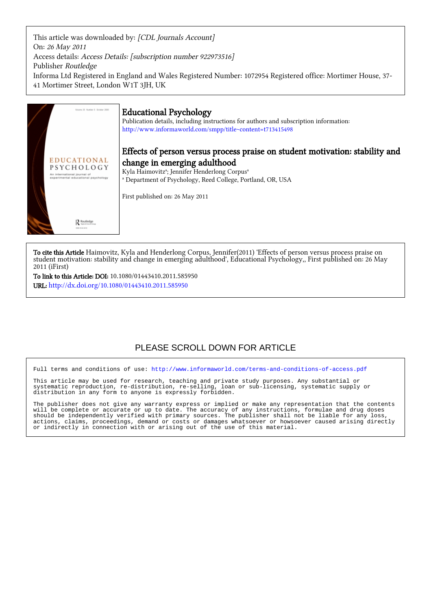This article was downloaded by: [CDL Journals Account] On: 26 May 2011 Access details: Access Details: [subscription number 922973516] Publisher Routledge Informa Ltd Registered in England and Wales Registered Number: 1072954 Registered office: Mortimer House, 37- 41 Mortimer Street, London W1T 3JH, UK



To cite this Article Haimovitz, Kyla and Henderlong Corpus, Jennifer(2011) 'Effects of person versus process praise on student motivation: stability and change in emerging adulthood', Educational Psychology,, First published on: 26 May 2011 (iFirst)

To link to this Article: DOI: 10.1080/01443410.2011.585950 URL: <http://dx.doi.org/10.1080/01443410.2011.585950>

# PLEASE SCROLL DOWN FOR ARTICLE

Full terms and conditions of use:<http://www.informaworld.com/terms-and-conditions-of-access.pdf>

This article may be used for research, teaching and private study purposes. Any substantial or systematic reproduction, re-distribution, re-selling, loan or sub-licensing, systematic supply or distribution in any form to anyone is expressly forbidden.

The publisher does not give any warranty express or implied or make any representation that the contents will be complete or accurate or up to date. The accuracy of any instructions, formulae and drug doses should be independently verified with primary sources. The publisher shall not be liable for any loss, actions, claims, proceedings, demand or costs or damages whatsoever or howsoever caused arising directly or indirectly in connection with or arising out of the use of this material.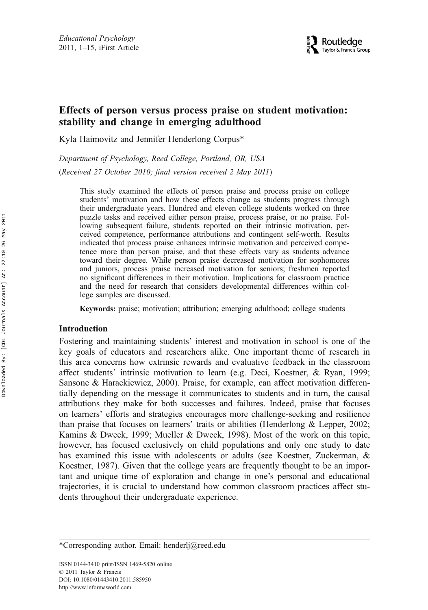# Effects of person versus process praise on student motivation: stability and change in emerging adulthood

Kyla Haimovitz and Jennifer Henderlong Corpus\*

Department of Psychology, Reed College, Portland, OR, USA

(Received 27 October 2010; final version received 2 May 2011)

This study examined the effects of person praise and process praise on college students' motivation and how these effects change as students progress through their undergraduate years. Hundred and eleven college students worked on three puzzle tasks and received either person praise, process praise, or no praise. Following subsequent failure, students reported on their intrinsic motivation, perceived competence, performance attributions and contingent self-worth. Results indicated that process praise enhances intrinsic motivation and perceived competence more than person praise, and that these effects vary as students advance toward their degree. While person praise decreased motivation for sophomores and juniors, process praise increased motivation for seniors; freshmen reported no significant differences in their motivation. Implications for classroom practice and the need for research that considers developmental differences within college samples are discussed.

Keywords: praise; motivation; attribution; emerging adulthood; college students

# Introduction

Fostering and maintaining students' interest and motivation in school is one of the key goals of educators and researchers alike. One important theme of research in this area concerns how extrinsic rewards and evaluative feedback in the classroom affect students' intrinsic motivation to learn (e.g. Deci, Koestner, & Ryan, 1999; Sansone & Harackiewicz, 2000). Praise, for example, can affect motivation differentially depending on the message it communicates to students and in turn, the causal attributions they make for both successes and failures. Indeed, praise that focuses on learners' efforts and strategies encourages more challenge-seeking and resilience than praise that focuses on learners' traits or abilities (Henderlong & Lepper, 2002; Kamins & Dweck, 1999; Mueller & Dweck, 1998). Most of the work on this topic, however, has focused exclusively on child populations and only one study to date has examined this issue with adolescents or adults (see Koestner, Zuckerman, & Koestner, 1987). Given that the college years are frequently thought to be an important and unique time of exploration and change in one's personal and educational trajectories, it is crucial to understand how common classroom practices affect students throughout their undergraduate experience.

<sup>\*</sup>Corresponding author. Email: henderlj@reed.edu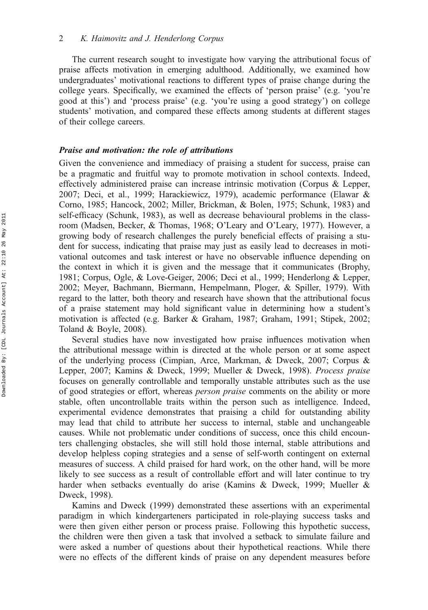The current research sought to investigate how varying the attributional focus of praise affects motivation in emerging adulthood. Additionally, we examined how undergraduates' motivational reactions to different types of praise change during the college years. Specifically, we examined the effects of 'person praise' (e.g. 'you're good at this') and 'process praise' (e.g. 'you're using a good strategy') on college students' motivation, and compared these effects among students at different stages of their college careers.

#### Praise and motivation: the role of attributions

Given the convenience and immediacy of praising a student for success, praise can be a pragmatic and fruitful way to promote motivation in school contexts. Indeed, effectively administered praise can increase intrinsic motivation (Corpus & Lepper, 2007; Deci, et al., 1999; Harackiewicz, 1979), academic performance (Elawar & Corno, 1985; Hancock, 2002; Miller, Brickman, & Bolen, 1975; Schunk, 1983) and self-efficacy (Schunk, 1983), as well as decrease behavioural problems in the classroom (Madsen, Becker, & Thomas, 1968; O'Leary and O'Leary, 1977). However, a growing body of research challenges the purely beneficial effects of praising a student for success, indicating that praise may just as easily lead to decreases in motivational outcomes and task interest or have no observable influence depending on the context in which it is given and the message that it communicates (Brophy, 1981; Corpus, Ogle, & Love-Geiger, 2006; Deci et al., 1999; Henderlong & Lepper, 2002; Meyer, Bachmann, Biermann, Hempelmann, Ploger, & Spiller, 1979). With regard to the latter, both theory and research have shown that the attributional focus of a praise statement may hold significant value in determining how a student's motivation is affected (e.g. Barker & Graham, 1987; Graham, 1991; Stipek, 2002; Toland & Boyle, 2008).

Several studies have now investigated how praise influences motivation when the attributional message within is directed at the whole person or at some aspect of the underlying process (Cimpian, Arce, Markman, & Dweck, 2007; Corpus & Lepper, 2007; Kamins & Dweck, 1999; Mueller & Dweck, 1998). Process praise focuses on generally controllable and temporally unstable attributes such as the use of good strategies or effort, whereas person praise comments on the ability or more stable, often uncontrollable traits within the person such as intelligence. Indeed, experimental evidence demonstrates that praising a child for outstanding ability may lead that child to attribute her success to internal, stable and unchangeable causes. While not problematic under conditions of success, once this child encounters challenging obstacles, she will still hold those internal, stable attributions and develop helpless coping strategies and a sense of self-worth contingent on external measures of success. A child praised for hard work, on the other hand, will be more likely to see success as a result of controllable effort and will later continue to try harder when setbacks eventually do arise (Kamins & Dweck, 1999; Mueller & Dweck, 1998).

Kamins and Dweck (1999) demonstrated these assertions with an experimental paradigm in which kindergarteners participated in role-playing success tasks and were then given either person or process praise. Following this hypothetic success, the children were then given a task that involved a setback to simulate failure and were asked a number of questions about their hypothetical reactions. While there were no effects of the different kinds of praise on any dependent measures before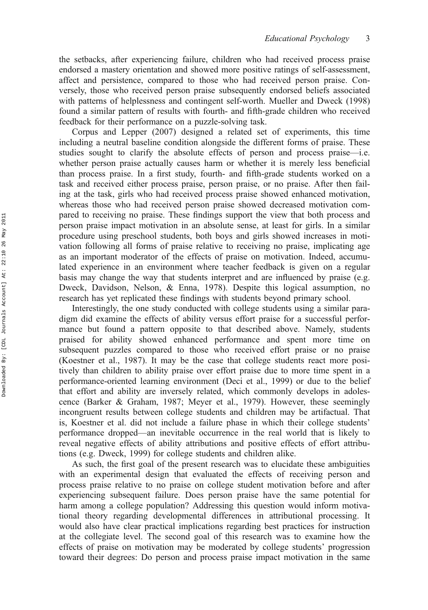the setbacks, after experiencing failure, children who had received process praise endorsed a mastery orientation and showed more positive ratings of self-assessment, affect and persistence, compared to those who had received person praise. Conversely, those who received person praise subsequently endorsed beliefs associated with patterns of helplessness and contingent self-worth. Mueller and Dweck (1998) found a similar pattern of results with fourth- and fifth-grade children who received feedback for their performance on a puzzle-solving task.

Corpus and Lepper (2007) designed a related set of experiments, this time including a neutral baseline condition alongside the different forms of praise. These studies sought to clarify the absolute effects of person and process praise—i.e. whether person praise actually causes harm or whether it is merely less beneficial than process praise. In a first study, fourth- and fifth-grade students worked on a task and received either process praise, person praise, or no praise. After then failing at the task, girls who had received process praise showed enhanced motivation, whereas those who had received person praise showed decreased motivation compared to receiving no praise. These findings support the view that both process and person praise impact motivation in an absolute sense, at least for girls. In a similar procedure using preschool students, both boys and girls showed increases in motivation following all forms of praise relative to receiving no praise, implicating age as an important moderator of the effects of praise on motivation. Indeed, accumulated experience in an environment where teacher feedback is given on a regular basis may change the way that students interpret and are influenced by praise (e.g. Dweck, Davidson, Nelson, & Enna, 1978). Despite this logical assumption, no research has yet replicated these findings with students beyond primary school.

Interestingly, the one study conducted with college students using a similar paradigm did examine the effects of ability versus effort praise for a successful performance but found a pattern opposite to that described above. Namely, students praised for ability showed enhanced performance and spent more time on subsequent puzzles compared to those who received effort praise or no praise (Koestner et al., 1987). It may be the case that college students react more positively than children to ability praise over effort praise due to more time spent in a performance-oriented learning environment (Deci et al., 1999) or due to the belief that effort and ability are inversely related, which commonly develops in adolescence (Barker & Graham, 1987; Meyer et al., 1979). However, these seemingly incongruent results between college students and children may be artifactual. That is, Koestner et al. did not include a failure phase in which their college students' performance dropped—an inevitable occurrence in the real world that is likely to reveal negative effects of ability attributions and positive effects of effort attributions (e.g. Dweck, 1999) for college students and children alike.

As such, the first goal of the present research was to elucidate these ambiguities with an experimental design that evaluated the effects of receiving person and process praise relative to no praise on college student motivation before and after experiencing subsequent failure. Does person praise have the same potential for harm among a college population? Addressing this question would inform motivational theory regarding developmental differences in attributional processing. It would also have clear practical implications regarding best practices for instruction at the collegiate level. The second goal of this research was to examine how the effects of praise on motivation may be moderated by college students' progression toward their degrees: Do person and process praise impact motivation in the same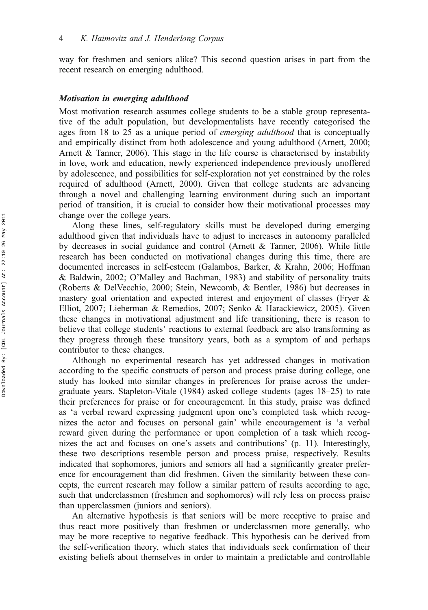way for freshmen and seniors alike? This second question arises in part from the recent research on emerging adulthood.

#### Motivation in emerging adulthood

Most motivation research assumes college students to be a stable group representative of the adult population, but developmentalists have recently categorised the ages from 18 to 25 as a unique period of *emerging adulthood* that is conceptually and empirically distinct from both adolescence and young adulthood (Arnett, 2000; Arnett & Tanner, 2006). This stage in the life course is characterised by instability in love, work and education, newly experienced independence previously unoffered by adolescence, and possibilities for self-exploration not yet constrained by the roles required of adulthood (Arnett, 2000). Given that college students are advancing through a novel and challenging learning environment during such an important period of transition, it is crucial to consider how their motivational processes may change over the college years.

Along these lines, self-regulatory skills must be developed during emerging adulthood given that individuals have to adjust to increases in autonomy paralleled by decreases in social guidance and control (Arnett & Tanner, 2006). While little research has been conducted on motivational changes during this time, there are documented increases in self-esteem (Galambos, Barker, & Krahn, 2006; Hoffman & Baldwin, 2002; O'Malley and Bachman, 1983) and stability of personality traits (Roberts & DelVecchio, 2000; Stein, Newcomb, & Bentler, 1986) but decreases in mastery goal orientation and expected interest and enjoyment of classes (Fryer & Elliot, 2007; Lieberman & Remedios, 2007; Senko & Harackiewicz, 2005). Given these changes in motivational adjustment and life transitioning, there is reason to believe that college students' reactions to external feedback are also transforming as they progress through these transitory years, both as a symptom of and perhaps contributor to these changes.

Although no experimental research has yet addressed changes in motivation according to the specific constructs of person and process praise during college, one study has looked into similar changes in preferences for praise across the undergraduate years. Stapleton-Vitale (1984) asked college students (ages 18–25) to rate their preferences for praise or for encouragement. In this study, praise was defined as 'a verbal reward expressing judgment upon one's completed task which recognizes the actor and focuses on personal gain' while encouragement is 'a verbal reward given during the performance or upon completion of a task which recognizes the act and focuses on one's assets and contributions' (p. 11). Interestingly, these two descriptions resemble person and process praise, respectively. Results indicated that sophomores, juniors and seniors all had a significantly greater preference for encouragement than did freshmen. Given the similarity between these concepts, the current research may follow a similar pattern of results according to age, such that underclassmen (freshmen and sophomores) will rely less on process praise than upperclassmen (juniors and seniors).

An alternative hypothesis is that seniors will be more receptive to praise and thus react more positively than freshmen or underclassmen more generally, who may be more receptive to negative feedback. This hypothesis can be derived from the self-verification theory, which states that individuals seek confirmation of their existing beliefs about themselves in order to maintain a predictable and controllable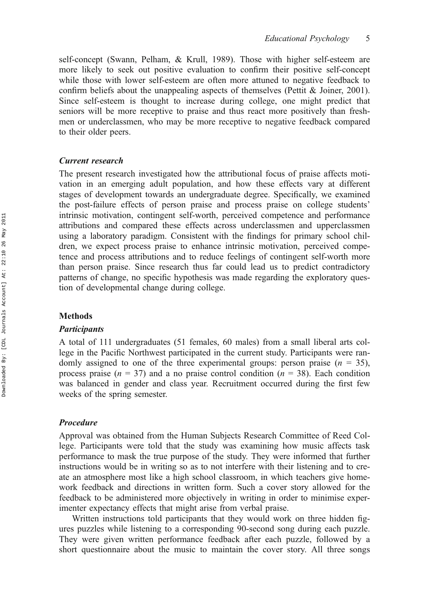self-concept (Swann, Pelham, & Krull, 1989). Those with higher self-esteem are more likely to seek out positive evaluation to confirm their positive self-concept while those with lower self-esteem are often more attuned to negative feedback to confirm beliefs about the unappealing aspects of themselves (Pettit & Joiner, 2001). Since self-esteem is thought to increase during college, one might predict that seniors will be more receptive to praise and thus react more positively than freshmen or underclassmen, who may be more receptive to negative feedback compared to their older peers.

# Current research

The present research investigated how the attributional focus of praise affects motivation in an emerging adult population, and how these effects vary at different stages of development towards an undergraduate degree. Specifically, we examined the post-failure effects of person praise and process praise on college students' intrinsic motivation, contingent self-worth, perceived competence and performance attributions and compared these effects across underclassmen and upperclassmen using a laboratory paradigm. Consistent with the findings for primary school children, we expect process praise to enhance intrinsic motivation, perceived competence and process attributions and to reduce feelings of contingent self-worth more than person praise. Since research thus far could lead us to predict contradictory patterns of change, no specific hypothesis was made regarding the exploratory question of developmental change during college.

# Methods

#### **Participants**

A total of 111 undergraduates (51 females, 60 males) from a small liberal arts college in the Pacific Northwest participated in the current study. Participants were randomly assigned to one of the three experimental groups: person praise  $(n = 35)$ , process praise ( $n = 37$ ) and a no praise control condition ( $n = 38$ ). Each condition was balanced in gender and class year. Recruitment occurred during the first few weeks of the spring semester.

#### Procedure

Approval was obtained from the Human Subjects Research Committee of Reed College. Participants were told that the study was examining how music affects task performance to mask the true purpose of the study. They were informed that further instructions would be in writing so as to not interfere with their listening and to create an atmosphere most like a high school classroom, in which teachers give homework feedback and directions in written form. Such a cover story allowed for the feedback to be administered more objectively in writing in order to minimise experimenter expectancy effects that might arise from verbal praise.

Written instructions told participants that they would work on three hidden figures puzzles while listening to a corresponding 90-second song during each puzzle. They were given written performance feedback after each puzzle, followed by a short questionnaire about the music to maintain the cover story. All three songs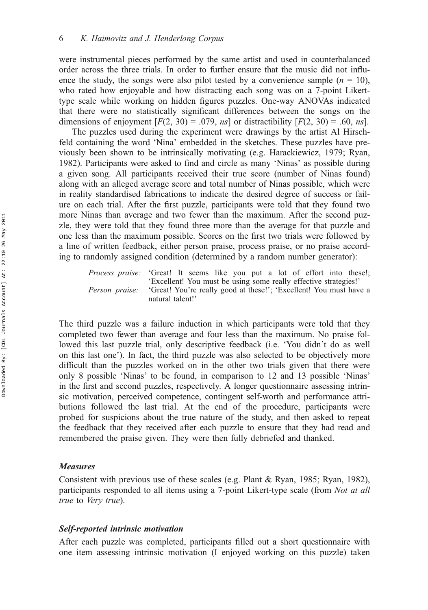were instrumental pieces performed by the same artist and used in counterbalanced order across the three trials. In order to further ensure that the music did not influence the study, the songs were also pilot tested by a convenience sample  $(n = 10)$ , who rated how enjoyable and how distracting each song was on a 7-point Likerttype scale while working on hidden figures puzzles. One-way ANOVAs indicated that there were no statistically significant differences between the songs on the dimensions of enjoyment  $[F(2, 30) = .079, ns]$  or distractibility  $[F(2, 30) = .60, ns]$ .

The puzzles used during the experiment were drawings by the artist Al Hirschfeld containing the word 'Nina' embedded in the sketches. These puzzles have previously been shown to be intrinsically motivating (e.g. Harackiewicz, 1979; Ryan, 1982). Participants were asked to find and circle as many 'Ninas' as possible during a given song. All participants received their true score (number of Ninas found) along with an alleged average score and total number of Ninas possible, which were in reality standardised fabrications to indicate the desired degree of success or failure on each trial. After the first puzzle, participants were told that they found two more Ninas than average and two fewer than the maximum. After the second puzzle, they were told that they found three more than the average for that puzzle and one less than the maximum possible. Scores on the first two trials were followed by a line of written feedback, either person praise, process praise, or no praise according to randomly assigned condition (determined by a random number generator):

Process praise: 'Great! It seems like you put a lot of effort into these!; 'Excellent! You must be using some really effective strategies!' Person praise: 'Great! You're really good at these!'; 'Excellent! You must have a natural talent!'

The third puzzle was a failure induction in which participants were told that they completed two fewer than average and four less than the maximum. No praise followed this last puzzle trial, only descriptive feedback (i.e. 'You didn't do as well on this last one'). In fact, the third puzzle was also selected to be objectively more difficult than the puzzles worked on in the other two trials given that there were only 8 possible 'Ninas' to be found, in comparison to 12 and 13 possible 'Ninas' in the first and second puzzles, respectively. A longer questionnaire assessing intrinsic motivation, perceived competence, contingent self-worth and performance attributions followed the last trial. At the end of the procedure, participants were probed for suspicions about the true nature of the study, and then asked to repeat the feedback that they received after each puzzle to ensure that they had read and remembered the praise given. They were then fully debriefed and thanked.

#### Measures

Consistent with previous use of these scales (e.g. Plant & Ryan, 1985; Ryan, 1982), participants responded to all items using a 7-point Likert-type scale (from Not at all true to Very true).

#### Self-reported intrinsic motivation

After each puzzle was completed, participants filled out a short questionnaire with one item assessing intrinsic motivation (I enjoyed working on this puzzle) taken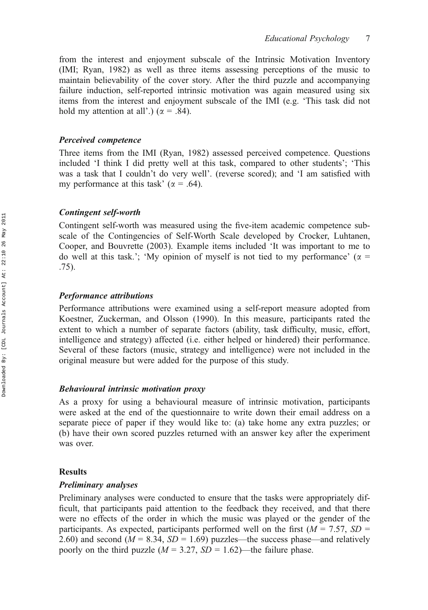from the interest and enjoyment subscale of the Intrinsic Motivation Inventory (IMI; Ryan, 1982) as well as three items assessing perceptions of the music to maintain believability of the cover story. After the third puzzle and accompanying failure induction, self-reported intrinsic motivation was again measured using six items from the interest and enjoyment subscale of the IMI (e.g. 'This task did not hold my attention at all'.) ( $\alpha = .84$ ).

# Perceived competence

Three items from the IMI (Ryan, 1982) assessed perceived competence. Questions included 'I think I did pretty well at this task, compared to other students'; 'This was a task that I couldn't do very well'. (reverse scored); and 'I am satisfied with my performance at this task' ( $\alpha$  = .64).

# Contingent self-worth

Contingent self-worth was measured using the five-item academic competence subscale of the Contingencies of Self-Worth Scale developed by Crocker, Luhtanen, Cooper, and Bouvrette (2003). Example items included 'It was important to me to do well at this task.'; 'My opinion of myself is not tied to my performance' ( $\alpha$  = .75).

# Performance attributions

Performance attributions were examined using a self-report measure adopted from Koestner, Zuckerman, and Olsson (1990). In this measure, participants rated the extent to which a number of separate factors (ability, task difficulty, music, effort, intelligence and strategy) affected (i.e. either helped or hindered) their performance. Several of these factors (music, strategy and intelligence) were not included in the original measure but were added for the purpose of this study.

# Behavioural intrinsic motivation proxy

As a proxy for using a behavioural measure of intrinsic motivation, participants were asked at the end of the questionnaire to write down their email address on a separate piece of paper if they would like to: (a) take home any extra puzzles; or (b) have their own scored puzzles returned with an answer key after the experiment was over.

# **Results**

# Preliminary analyses

Preliminary analyses were conducted to ensure that the tasks were appropriately difficult, that participants paid attention to the feedback they received, and that there were no effects of the order in which the music was played or the gender of the participants. As expected, participants performed well on the first  $(M = 7.57, SD =$ 2.60) and second  $(M = 8.34, SD = 1.69)$  puzzles—the success phase—and relatively poorly on the third puzzle ( $M = 3.27$ ,  $SD = 1.62$ )—the failure phase.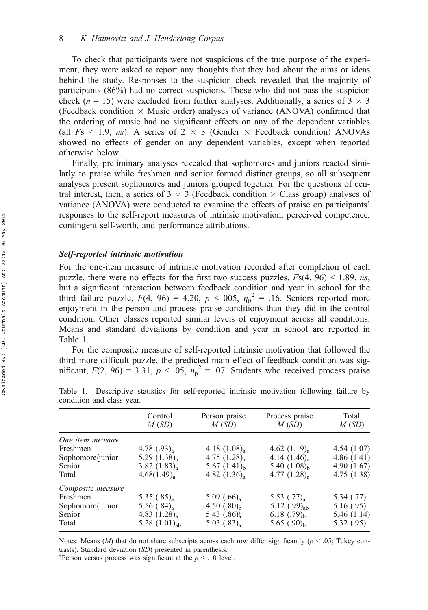To check that participants were not suspicious of the true purpose of the experiment, they were asked to report any thoughts that they had about the aims or ideas behind the study. Responses to the suspicion check revealed that the majority of participants (86%) had no correct suspicions. Those who did not pass the suspicion check ( $n = 15$ ) were excluded from further analyses. Additionally, a series of  $3 \times 3$ (Feedback condition  $\times$  Music order) analyses of variance (ANOVA) confirmed that the ordering of music had no significant effects on any of the dependent variables (all  $Fs \le 1.9$ , ns). A series of  $2 \times 3$  (Gender  $\times$  Feedback condition) ANOVAs showed no effects of gender on any dependent variables, except when reported otherwise below.

Finally, preliminary analyses revealed that sophomores and juniors reacted similarly to praise while freshmen and senior formed distinct groups, so all subsequent analyses present sophomores and juniors grouped together. For the questions of central interest, then, a series of  $3 \times 3$  (Feedback condition  $\times$  Class group) analyses of variance (ANOVA) were conducted to examine the effects of praise on participants' responses to the self-report measures of intrinsic motivation, perceived competence, contingent self-worth, and performance attributions.

#### Self-reported intrinsic motivation

For the one-item measure of intrinsic motivation recorded after completion of each puzzle, there were no effects for the first two success puzzles,  $Fs(4, 96) \le 1.89$ , ns, but a significant interaction between feedback condition and year in school for the third failure puzzle,  $F(4, 96) = 4.20$ ,  $p < 005$ ,  $\eta_p^2 = .16$ . Seniors reported more enjoyment in the person and process praise conditions than they did in the control enjoyment in the person and process praise conditions than they did in the control condition. Other classes reported similar levels of enjoyment across all conditions. Means and standard deviations by condition and year in school are reported in Table 1.

For the composite measure of self-reported intrinsic motivation that followed the third more difficult puzzle, the predicted main effect of feedback condition was significant,  $F(2, 96) = 3.31$ ,  $p < .05$ ,  $\eta_p^2 = .07$ . Students who received process praise

|                   | Control<br>M(SD)      | Person praise<br>M(SD) | Process praise<br>M(SD)    | Total<br>M(SD) |
|-------------------|-----------------------|------------------------|----------------------------|----------------|
| One item measure  |                       |                        |                            |                |
| Freshmen          | 4.78 $(.93)_{\rm a}$  | 4.18 $(1.08)_{a}$      | 4.62 $(1.19)_{a}$          | 4.54(1.07)     |
| Sophomore/junior  | 5.29 $(1.38)_{\rm a}$ | 4.75 $(1.28)_{\rm a}$  | 4.14 $(1.46)$ <sub>a</sub> | 4.86(1.41)     |
| Senior            | 3.82 $(1.83)_{\rm a}$ | 5.67 $(1.41)_{h}$      | 5.40 $(1.08)_{h}$          | 4.90 $(1.67)$  |
| Total             | $4.68(1.49)_{\rm a}$  | 4.82 $(1.36)_{a}$      | 4.77 $(1.28)_{\rm a}$      | 4.75(1.38)     |
| Composite measure |                       |                        |                            |                |
| Freshmen          | 5.35 $(.85)_{a}$      | $5.09(.66)_{\rm a}$    | 5.53 $(.77)_{\rm a}$       | 5.34 (.77)     |
| Sophomore/junior  | $5.56(.84)_{\rm a}$   | 4.50 $(.80)_{h}$       | 5.12 $(.99)_{ab}$          | 5.16(.95)      |
| Senior            | 4.83 $(1.28)_{\rm a}$ | 5.43 $(.86)_{a}^{+}$   | 6.18 $(.79)_{h}$           | 5.46 (1.14)    |
| Total             | 5.28 $(1.01)_{ab}$    | 5.03 $(.83)_{a}$       | 5.65 $(.90)_{h}$           | 5.32 (.95)     |
|                   |                       |                        |                            |                |

Table 1. Descriptive statistics for self-reported intrinsic motivation following failure by condition and class year.

Notes: Means (M) that do not share subscripts across each row differ significantly ( $p < .05$ ; Tukey contrasts). Standard deviation (SD) presented in parenthesis.

Person versus process was significant at the  $p < 0.10$  level.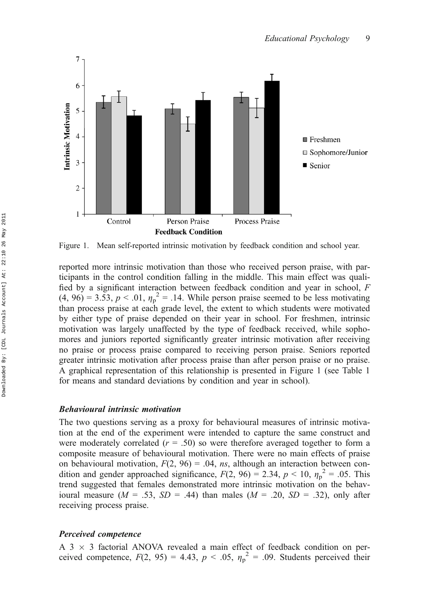

Figure 1. Mean self-reported intrinsic motivation by feedback condition and school year.

reported more intrinsic motivation than those who received person praise, with participants in the control condition falling in the middle. This main effect was qualified by a significant interaction between feedback condition and year in school, F  $(4, 96) = 3.53$ ,  $p < .01$ ,  $\eta_p^2 = .14$ . While person praise seemed to be less motivating than process praise at each grade level, the extent to which students were motivated than process praise at each grade level, the extent to which students were motivated by either type of praise depended on their year in school. For freshmen, intrinsic motivation was largely unaffected by the type of feedback received, while sophomores and juniors reported significantly greater intrinsic motivation after receiving no praise or process praise compared to receiving person praise. Seniors reported greater intrinsic motivation after process praise than after person praise or no praise. A graphical representation of this relationship is presented in Figure 1 (see Table 1 for means and standard deviations by condition and year in school).

# Behavioural intrinsic motivation

The two questions serving as a proxy for behavioural measures of intrinsic motivation at the end of the experiment were intended to capture the same construct and were moderately correlated ( $r = .50$ ) so were therefore averaged together to form a composite measure of behavioural motivation. There were no main effects of praise on behavioural motivation,  $F(2, 96) = .04$ , *ns*, although an interaction between condition and gender approached significance,  $F(2, 96) = 2.34$ ,  $p < 10$ ,  $\eta_p^2 = .05$ . This trend suggested that females demonstrated more intrinsic motivation on the behavioural measure ( $M = .53$ ,  $SD = .44$ ) than males ( $M = .20$ ,  $SD = .32$ ), only after receiving process praise.

#### Perceived competence

A  $3 \times 3$  factorial ANOVA revealed a main effect of feedback condition on perceived competence,  $F(2, 95) = 4.43$ ,  $p < .05$ ,  $\eta_p^2 = .09$ . Students perceived their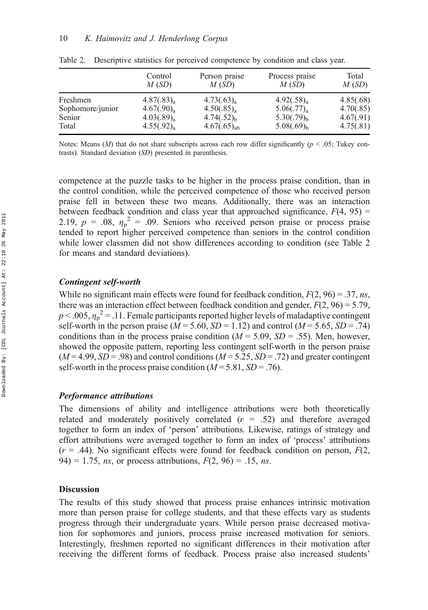|                  | Control             | Person praise       | Process praise      | Total     |
|------------------|---------------------|---------------------|---------------------|-----------|
|                  | M(SD)               | M(SD)               | M(SD)               | M(SD)     |
| Freshmen         | $4.87(.83)_{\rm a}$ | $4.73(.63)_{\rm a}$ | $4.92(.58)_{\rm a}$ | 4.85(.68) |
| Sophomore/junior | $4.67(.90)_{\rm a}$ | $4.50(.85)_{\rm a}$ | $5.06(.77)_{\rm a}$ | 4.70(.85) |
| Senior           | $4.03(.89)_{\rm a}$ | $4.74(.52)_{h}$     | $5.30(.79)_{h}$     | 4.67(.91) |
| Total            | 4.55(.92)           | $4.67(.65)_{ab}$    | $5.08(.69)_{h}$     | 4.75(.81) |

Table 2. Descriptive statistics for perceived competence by condition and class year.

Notes: Means (M) that do not share subscripts across each row differ significantly ( $p < .05$ ; Tukey contrasts). Standard deviation (SD) presented in parenthesis.

competence at the puzzle tasks to be higher in the process praise condition, than in the control condition, while the perceived competence of those who received person praise fell in between these two means. Additionally, there was an interaction between feedback condition and class year that approached significance,  $F(4, 95)$  = 2.19,  $p = .08$ ,  $\eta_p^2 = .09$ . Seniors who received person praise or process praise tended to report higher perceived competence than seniors in the control condition tended to report higher perceived competence than seniors in the control condition while lower classmen did not show differences according to condition (see Table 2) for means and standard deviations).

#### Contingent self-worth

While no significant main effects were found for feedback condition,  $F(2, 96) = .37$ , ns, there was an interaction effect between feedback condition and gender,  $F(2, 96) = 5.79$ ,  $p < .005$ ,  $\eta_p^2 = .11$ . Female participants reported higher levels of maladaptive contingent self-worth in the person praise  $(M = 5.60 S/D = 1.12)$  and control  $(M = 5.65 S/D = 74)$ self-worth in the person praise ( $M = 5.60$ ,  $SD = 1.12$ ) and control ( $M = 5.65$ ,  $SD = .74$ ) conditions than in the process praise condition ( $M = 5.09$ ,  $SD = .55$ ). Men, however, showed the opposite pattern, reporting less contingent self-worth in the person praise  $(M=4.99, SD=.98)$  and control conditions  $(M=5.25, SD=.72)$  and greater contingent self-worth in the process praise condition  $(M = 5.81, SD = .76)$ .

#### Performance attributions

The dimensions of ability and intelligence attributions were both theoretically related and moderately positively correlated  $(r = .52)$  and therefore averaged together to form an index of 'person' attributions. Likewise, ratings of strategy and effort attributions were averaged together to form an index of 'process' attributions  $(r = .44)$ . No significant effects were found for feedback condition on person,  $F(2)$ , 94) = 1.75, *ns*, or process attributions,  $F(2, 96) = .15$ , *ns*.

#### Discussion

The results of this study showed that process praise enhances intrinsic motivation more than person praise for college students, and that these effects vary as students progress through their undergraduate years. While person praise decreased motivation for sophomores and juniors, process praise increased motivation for seniors. Interestingly, freshmen reported no significant differences in their motivation after receiving the different forms of feedback. Process praise also increased students'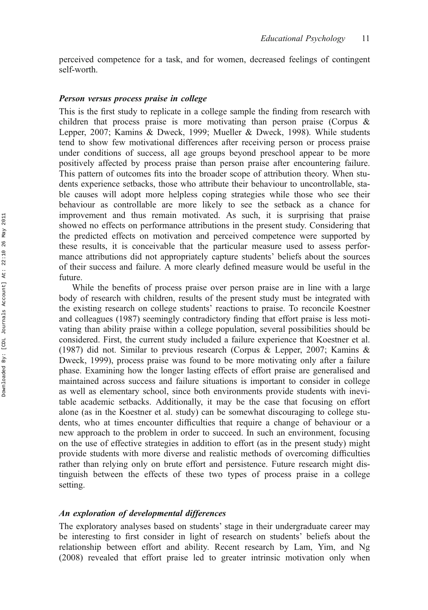perceived competence for a task, and for women, decreased feelings of contingent self-worth.

#### Person versus process praise in college

This is the first study to replicate in a college sample the finding from research with children that process praise is more motivating than person praise (Corpus & Lepper, 2007; Kamins & Dweck, 1999; Mueller & Dweck, 1998). While students tend to show few motivational differences after receiving person or process praise under conditions of success, all age groups beyond preschool appear to be more positively affected by process praise than person praise after encountering failure. This pattern of outcomes fits into the broader scope of attribution theory. When students experience setbacks, those who attribute their behaviour to uncontrollable, stable causes will adopt more helpless coping strategies while those who see their behaviour as controllable are more likely to see the setback as a chance for improvement and thus remain motivated. As such, it is surprising that praise showed no effects on performance attributions in the present study. Considering that the predicted effects on motivation and perceived competence were supported by these results, it is conceivable that the particular measure used to assess performance attributions did not appropriately capture students' beliefs about the sources of their success and failure. A more clearly defined measure would be useful in the future.

While the benefits of process praise over person praise are in line with a large body of research with children, results of the present study must be integrated with the existing research on college students' reactions to praise. To reconcile Koestner and colleagues (1987) seemingly contradictory finding that effort praise is less motivating than ability praise within a college population, several possibilities should be considered. First, the current study included a failure experience that Koestner et al. (1987) did not. Similar to previous research (Corpus & Lepper, 2007; Kamins & Dweck, 1999), process praise was found to be more motivating only after a failure phase. Examining how the longer lasting effects of effort praise are generalised and maintained across success and failure situations is important to consider in college as well as elementary school, since both environments provide students with inevitable academic setbacks. Additionally, it may be the case that focusing on effort alone (as in the Koestner et al. study) can be somewhat discouraging to college students, who at times encounter difficulties that require a change of behaviour or a new approach to the problem in order to succeed. In such an environment, focusing on the use of effective strategies in addition to effort (as in the present study) might provide students with more diverse and realistic methods of overcoming difficulties rather than relying only on brute effort and persistence. Future research might distinguish between the effects of these two types of process praise in a college setting.

#### An exploration of developmental differences

The exploratory analyses based on students' stage in their undergraduate career may be interesting to first consider in light of research on students' beliefs about the relationship between effort and ability. Recent research by Lam, Yim, and Ng (2008) revealed that effort praise led to greater intrinsic motivation only when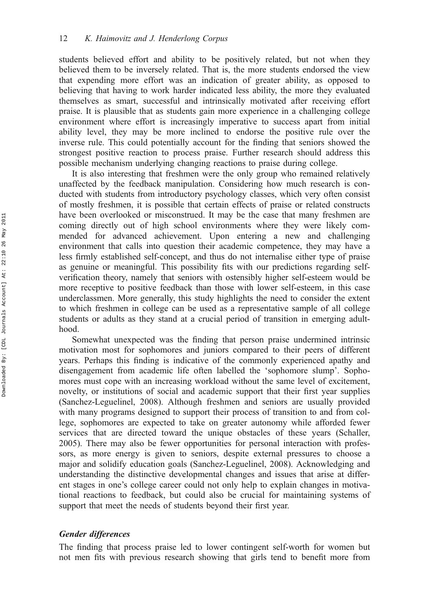students believed effort and ability to be positively related, but not when they believed them to be inversely related. That is, the more students endorsed the view that expending more effort was an indication of greater ability, as opposed to believing that having to work harder indicated less ability, the more they evaluated themselves as smart, successful and intrinsically motivated after receiving effort praise. It is plausible that as students gain more experience in a challenging college environment where effort is increasingly imperative to success apart from initial ability level, they may be more inclined to endorse the positive rule over the inverse rule. This could potentially account for the finding that seniors showed the strongest positive reaction to process praise. Further research should address this possible mechanism underlying changing reactions to praise during college.

It is also interesting that freshmen were the only group who remained relatively unaffected by the feedback manipulation. Considering how much research is conducted with students from introductory psychology classes, which very often consist of mostly freshmen, it is possible that certain effects of praise or related constructs have been overlooked or misconstrued. It may be the case that many freshmen are coming directly out of high school environments where they were likely commended for advanced achievement. Upon entering a new and challenging environment that calls into question their academic competence, they may have a less firmly established self-concept, and thus do not internalise either type of praise as genuine or meaningful. This possibility fits with our predictions regarding selfverification theory, namely that seniors with ostensibly higher self-esteem would be more receptive to positive feedback than those with lower self-esteem, in this case underclassmen. More generally, this study highlights the need to consider the extent to which freshmen in college can be used as a representative sample of all college students or adults as they stand at a crucial period of transition in emerging adulthood.

Somewhat unexpected was the finding that person praise undermined intrinsic motivation most for sophomores and juniors compared to their peers of different years. Perhaps this finding is indicative of the commonly experienced apathy and disengagement from academic life often labelled the 'sophomore slump'. Sophomores must cope with an increasing workload without the same level of excitement, novelty, or institutions of social and academic support that their first year supplies (Sanchez-Leguelinel, 2008). Although freshmen and seniors are usually provided with many programs designed to support their process of transition to and from college, sophomores are expected to take on greater autonomy while afforded fewer services that are directed toward the unique obstacles of these years (Schaller, 2005). There may also be fewer opportunities for personal interaction with professors, as more energy is given to seniors, despite external pressures to choose a major and solidify education goals (Sanchez-Leguelinel, 2008). Acknowledging and understanding the distinctive developmental changes and issues that arise at different stages in one's college career could not only help to explain changes in motivational reactions to feedback, but could also be crucial for maintaining systems of support that meet the needs of students beyond their first year.

# Gender differences

The finding that process praise led to lower contingent self-worth for women but not men fits with previous research showing that girls tend to benefit more from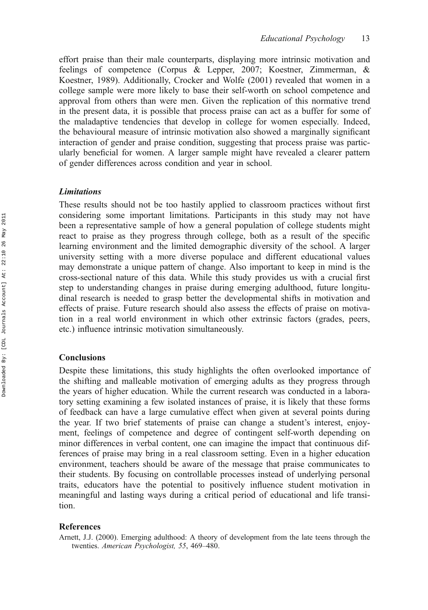effort praise than their male counterparts, displaying more intrinsic motivation and feelings of competence (Corpus & Lepper, 2007; Koestner, Zimmerman, & Koestner, 1989). Additionally, Crocker and Wolfe (2001) revealed that women in a college sample were more likely to base their self-worth on school competence and approval from others than were men. Given the replication of this normative trend in the present data, it is possible that process praise can act as a buffer for some of the maladaptive tendencies that develop in college for women especially. Indeed, the behavioural measure of intrinsic motivation also showed a marginally significant interaction of gender and praise condition, suggesting that process praise was particularly beneficial for women. A larger sample might have revealed a clearer pattern of gender differences across condition and year in school.

# Limitations

These results should not be too hastily applied to classroom practices without first considering some important limitations. Participants in this study may not have been a representative sample of how a general population of college students might react to praise as they progress through college, both as a result of the specific learning environment and the limited demographic diversity of the school. A larger university setting with a more diverse populace and different educational values may demonstrate a unique pattern of change. Also important to keep in mind is the cross-sectional nature of this data. While this study provides us with a crucial first step to understanding changes in praise during emerging adulthood, future longitudinal research is needed to grasp better the developmental shifts in motivation and effects of praise. Future research should also assess the effects of praise on motivation in a real world environment in which other extrinsic factors (grades, peers, etc.) influence intrinsic motivation simultaneously.

# Conclusions

Despite these limitations, this study highlights the often overlooked importance of the shifting and malleable motivation of emerging adults as they progress through the years of higher education. While the current research was conducted in a laboratory setting examining a few isolated instances of praise, it is likely that these forms of feedback can have a large cumulative effect when given at several points during the year. If two brief statements of praise can change a student's interest, enjoyment, feelings of competence and degree of contingent self-worth depending on minor differences in verbal content, one can imagine the impact that continuous differences of praise may bring in a real classroom setting. Even in a higher education environment, teachers should be aware of the message that praise communicates to their students. By focusing on controllable processes instead of underlying personal traits, educators have the potential to positively influence student motivation in meaningful and lasting ways during a critical period of educational and life transition.

# References

Arnett, J.J. (2000). Emerging adulthood: A theory of development from the late teens through the twenties. American Psychologist, 55, 469–480.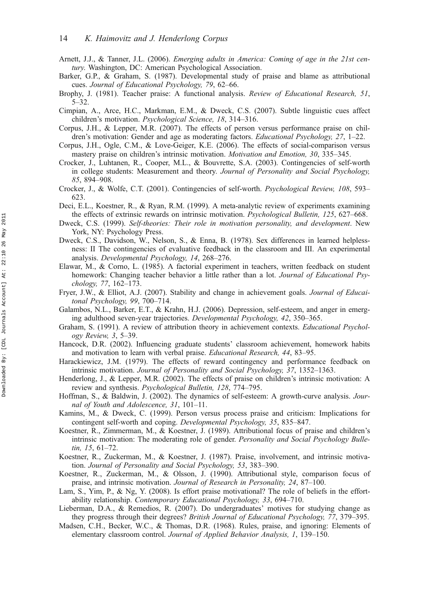- Arnett, J.J., & Tanner, J.L. (2006). Emerging adults in America: Coming of age in the 21st century. Washington, DC: American Psychological Association.
- Barker, G.P., & Graham, S. (1987). Developmental study of praise and blame as attributional cues. Journal of Educational Psychology, 79, 62–66.
- Brophy, J. (1981). Teacher praise: A functional analysis. Review of Educational Research, 51, 5–32.
- Cimpian, A., Arce, H.C., Markman, E.M., & Dweck, C.S. (2007). Subtle linguistic cues affect children's motivation. Psychological Science, 18, 314–316.
- Corpus, J.H., & Lepper, M.R. (2007). The effects of person versus performance praise on children's motivation: Gender and age as moderating factors. Educational Psychology, 27, 1–22.
- Corpus, J.H., Ogle, C.M., & Love-Geiger, K.E. (2006). The effects of social-comparison versus mastery praise on children's intrinsic motivation. Motivation and Emotion, 30, 335–345.
- Crocker, J., Luhtanen, R., Cooper, M.L., & Bouvrette, S.A. (2003). Contingencies of self-worth in college students: Measurement and theory. Journal of Personality and Social Psychology, 85, 894–908.
- Crocker, J., & Wolfe, C.T. (2001). Contingencies of self-worth. Psychological Review, 108, 593– 623.
- Deci, E.L., Koestner, R., & Ryan, R.M. (1999). A meta-analytic review of experiments examining the effects of extrinsic rewards on intrinsic motivation. Psychological Bulletin, 125, 627–668.
- Dweck, C.S. (1999). Self-theories: Their role in motivation personality, and development. New York, NY: Psychology Press.
- Dweck, C.S., Davidson, W., Nelson, S., & Enna, B. (1978). Sex differences in learned helplessness: II The contingencies of evaluative feedback in the classroom and III. An experimental analysis. Developmental Psychology, 14, 268–276.
- Elawar, M., & Corno, L. (1985). A factorial experiment in teachers, written feedback on student homework: Changing teacher behavior a little rather than a lot. Journal of Educational Psychology, 77, 162–173.
- Fryer, J.W., & Elliot, A.J. (2007). Stability and change in achievement goals. Journal of Educaitonal Psychology, 99, 700–714.
- Galambos, N.L., Barker, E.T., & Krahn, H.J. (2006). Depression, self-esteem, and anger in emerging adulthood seven-year trajectories. Developmental Psychology, 42, 350–365.
- Graham, S. (1991). A review of attribution theory in achievement contexts. *Educational Psychol*ogy Review, 3, 5–39.
- Hancock, D.R. (2002). Influencing graduate students' classroom achievement, homework habits and motivation to learn with verbal praise. Educational Research, 44, 83–95.
- Harackiewicz, J.M. (1979). The effects of reward contingency and performance feedback on intrinsic motivation. Journal of Personality and Social Psychology, 37, 1352–1363.
- Henderlong, J., & Lepper, M.R. (2002). The effects of praise on children's intrinsic motivation: A review and synthesis. Psychological Bulletin, 128, 774–795.
- Hoffman, S., & Baldwin, J. (2002). The dynamics of self-esteem: A growth-curve analysis. Journal of Youth and Adolescence, 31, 101–11.
- Kamins, M., & Dweck, C. (1999). Person versus process praise and criticism: Implications for contingent self-worth and coping. Developmental Psychology, 35, 835–847.
- Koestner, R., Zimmerman, M., & Koestner, J. (1989). Attributional focus of praise and children's intrinsic motivation: The moderating role of gender. Personality and Social Psychology Bulletin, 15, 61–72.
- Koestner, R., Zuckerman, M., & Koestner, J. (1987). Praise, involvement, and intrinsic motivation. Journal of Personality and Social Psychology, 53, 383–390.
- Koestner, R., Zuckerman, M., & Olsson, J. (1990). Attributional style, comparison focus of praise, and intrinsic motivation. Journal of Research in Personality, 24, 87–100.
- Lam, S., Yim, P., & Ng, Y. (2008). Is effort praise motivational? The role of beliefs in the effortability relationship. Contemporary Educational Psychology, 33, 694–710.
- Lieberman, D.A., & Remedios, R. (2007). Do undergraduates' motives for studying change as they progress through their degrees? British Journal of Educational Psychology, 77, 379–395.
- Madsen, C.H., Becker, W.C., & Thomas, D.R. (1968). Rules, praise, and ignoring: Elements of elementary classroom control. Journal of Applied Behavior Analysis, 1, 139–150.